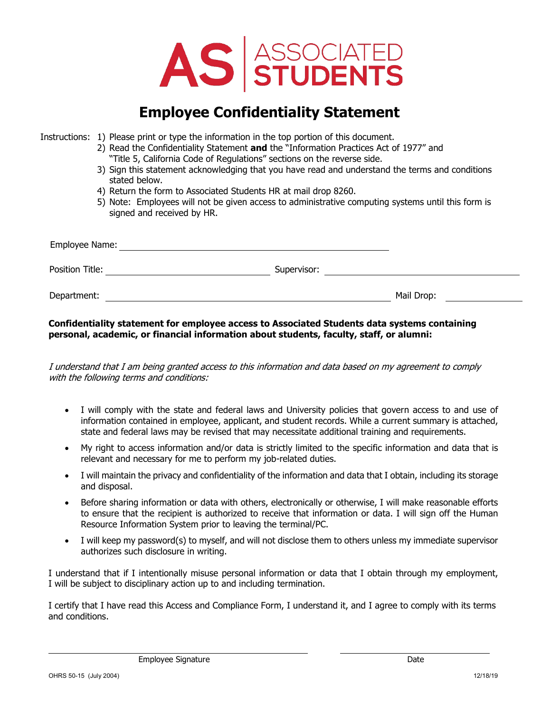

# **Employee Confidentiality Statement**

Instructions: 1) Please print or type the information in the top portion of this document.

- 2) Read the Confidentiality Statement **and** the "Information Practices Act of 1977" and
	- "Title 5, California Code of Regulations" sections on the reverse side.
- 3) Sign this statement acknowledging that you have read and understand the terms and conditions stated below.
- 4) Return the form to Associated Students HR at mail drop 8260.
- 5) Note: Employees will not be given access to administrative computing systems until this form is signed and received by HR.

| Employee Name:  |             |            |
|-----------------|-------------|------------|
| Position Title: | Supervisor: |            |
| Department:     |             | Mail Drop: |

**Confidentiality statement for employee access to Associated Students data systems containing personal, academic, or financial information about students, faculty, staff, or alumni:** 

 I understand that I am being granted access to this information and data based on my agreement to comply with the following terms and conditions:

- • I will comply with the state and federal laws and University policies that govern access to and use of information contained in employee, applicant, and student records. While a current summary is attached, state and federal laws may be revised that may necessitate additional training and requirements.
- • My right to access information and/or data is strictly limited to the specific information and data that is relevant and necessary for me to perform my job-related duties.
- • I will maintain the privacy and confidentiality of the information and data that I obtain, including its storage and disposal.
- • Before sharing information or data with others, electronically or otherwise, I will make reasonable efforts to ensure that the recipient is authorized to receive that information or data. I will sign off the Human Resource Information System prior to leaving the terminal/PC.
- • I will keep my password(s) to myself, and will not disclose them to others unless my immediate supervisor authorizes such disclosure in writing.

 I will be subject to disciplinary action up to and including termination. I understand that if I intentionally misuse personal information or data that I obtain through my employment,

 I certify that I have read this Access and Compliance Form, I understand it, and I agree to comply with its terms and conditions.